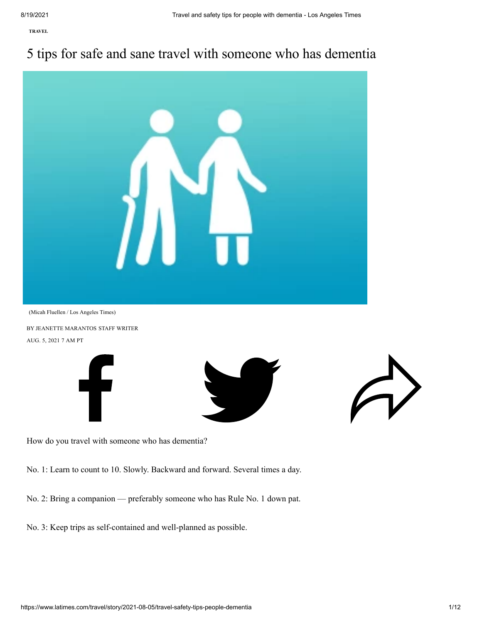**[TRAVEL](https://www.latimes.com/travel)**

# 5 tips for safe and sane travel with someone who has dementia



BY [JEANETTE MARANTOS](https://www.latimes.com/people/jeanette-marantos) STAFF WRITER AUG. 5, 2021 7 AM PT







How do you travel with someone who has dementia?

No. 1: Learn to count to 10. Slowly. Backward and forward. Several times a day.

No. 2: Bring a companion — preferably someone who has Rule No. 1 down pat.

No. 3: Keep trips as self-contained and well-planned as possible.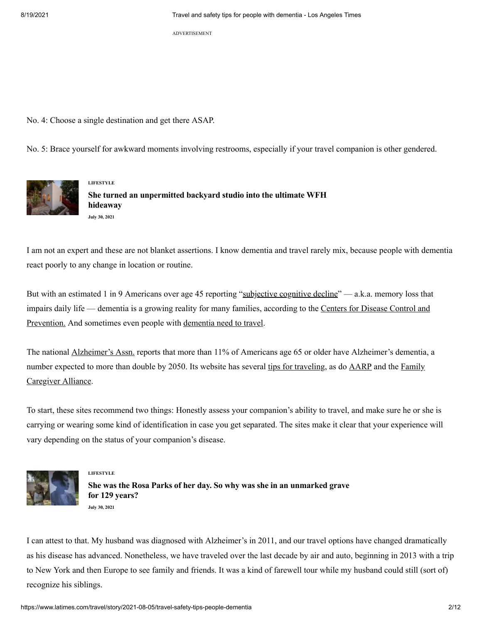ADVERTISEMENT

No. 4: Choose a single destination and get there ASAP.

No. 5: Brace yourself for awkward moments involving restrooms, especially if your travel companion is other gendered.



**[LIFESTYLE](https://www.latimes.com/lifestyle) She turned an [unpermitted](https://www.latimes.com/lifestyle/story/2021-07-30/writing-studio-with-hidden-roof-deck-offers-views-of-dtla) backyard studio into the ultimate WFH hideaway July 30, 2021**

I am not an expert and these are not blanket assertions. I know dementia and travel rarely mix, because people with dementia react poorly to any change in location or routine.

But with an estimated 1 in 9 Americans over age 45 reporting "[subjective cognitive decline](https://www.cdc.gov/aging/images/brfssinfographics/National-Combined-2015-2018.pdf)" — a.k.a. memory loss that [impairs daily life — dementia is a growing reality for many families, according to the](https://www.cdc.gov/aging/aginginfo/alzheimers.htm) Centers for Disease Control and Prevention. And sometimes even people with [dementia need to travel](https://www.latimes.com/travel/la-tr-all-systems-go-alzheimers-travel-20190218-story.html).

The national [Alzheimer's Assn.](https://www.alz.org/alzheimers-dementia/facts-figures) reports that more than 11% of Americans age 65 or older have Alzheimer's dementia, a [number expected to more than double by 2050. Its website has several](https://caregiver.org/news/navigating-travel-loved-one-who-has-alzheimers-disease/) [tips for traveling,](https://www.alz.org/help-support/caregiving/safety/traveling) as do [AARP](https://www.aarp.org/caregiving/home-care/info-2018/traveling-with-your-loved-one.html) and the Family Caregiver Alliance.

To start, these sites recommend two things: Honestly assess your companion's ability to travel, and make sure he or she is carrying or wearing some kind of identification in case you get separated. The sites make it clear that your experience will vary depending on the status of your companion's disease.



#### **[LIFESTYLE](https://www.latimes.com/lifestyle)**

**She was the Rosa Parks of her day. So why was she in an [unmarked](https://www.latimes.com/lifestyle/story/2021-07-30/how-civil-rights-activist-ellen-clark-was-found-in-an-unmarked-grave-in-altadena) grave for 129 years? July 30, 2021**

I can attest to that. My husband was diagnosed with Alzheimer's in 2011, and our travel options have changed dramatically as his disease has advanced. Nonetheless, we have traveled over the last decade by air and auto, beginning in 2013 with a trip to New York and then Europe to see family and friends. It was a kind of farewell tour while my husband could still (sort of) recognize his siblings.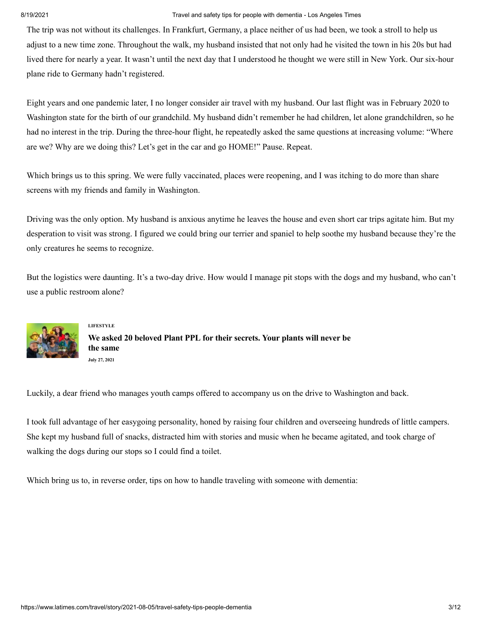The trip was not without its challenges. In Frankfurt, Germany, a place neither of us had been, we took a stroll to help us adjust to a new time zone. Throughout the walk, my husband insisted that not only had he visited the town in his 20s but had lived there for nearly a year. It wasn't until the next day that I understood he thought we were still in New York. Our six-hour plane ride to Germany hadn't registered.

Eight years and one pandemic later, I no longer consider air travel with my husband. Our last flight was in February 2020 to Washington state for the birth of our grandchild. My husband didn't remember he had children, let alone grandchildren, so he had no interest in the trip. During the three-hour flight, he repeatedly asked the same questions at increasing volume: "Where are we? Why are we doing this? Let's get in the car and go HOME!" Pause. Repeat.

Which brings us to this spring. We were fully vaccinated, places were reopening, and I was itching to do more than share screens with my friends and family in Washington.

Driving was the only option. My husband is anxious anytime he leaves the house and even short car trips agitate him. But my desperation to visit was strong. I figured we could bring our terrier and spaniel to help soothe my husband because they're the only creatures he seems to recognize.

But the logistics were daunting. It's a two-day drive. How would I manage pit stops with the dogs and my husband, who can't use a public restroom alone?



**[LIFESTYLE](https://www.latimes.com/lifestyle) We asked 20 [beloved](https://www.latimes.com/lifestyle/story/2021-07-27/plant-care-tips-gardening-ideas-la-times-plants) Plant PPL for their secrets. Your plants will never be the same July 27, 2021**

Luckily, a dear friend who manages youth camps offered to accompany us on the drive to Washington and back.

I took full advantage of her easygoing personality, honed by raising four children and overseeing hundreds of little campers. She kept my husband full of snacks, distracted him with stories and music when he became agitated, and took charge of walking the dogs during our stops so I could find a toilet.

Which bring us to, in reverse order, tips on how to handle traveling with someone with dementia: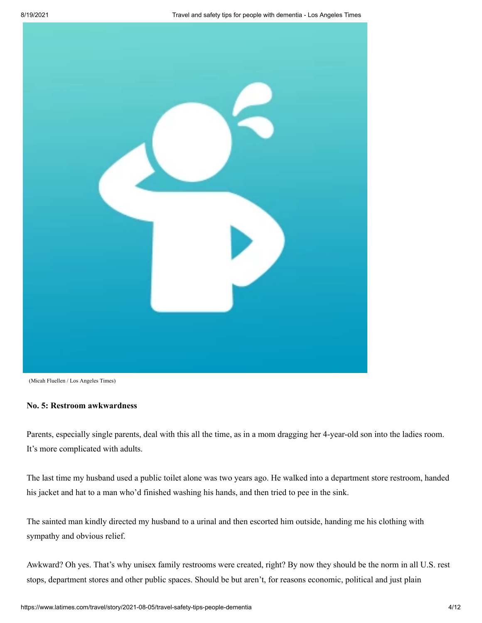

<sup>(</sup>Micah Fluellen / Los Angeles Times)

# **No. 5: Restroom awkwardness**

Parents, especially single parents, deal with this all the time, as in a mom dragging her 4-year-old son into the ladies room. It's more complicated with adults.

The last time my husband used a public toilet alone was two years ago. He walked into a department store restroom, handed his jacket and hat to a man who'd finished washing his hands, and then tried to pee in the sink.

The sainted man kindly directed my husband to a urinal and then escorted him outside, handing me his clothing with sympathy and obvious relief.

Awkward? Oh yes. That's why unisex family restrooms were created, right? By now they should be the norm in all U.S. rest stops, department stores and other public spaces. Should be but aren't, for reasons economic, political and just plain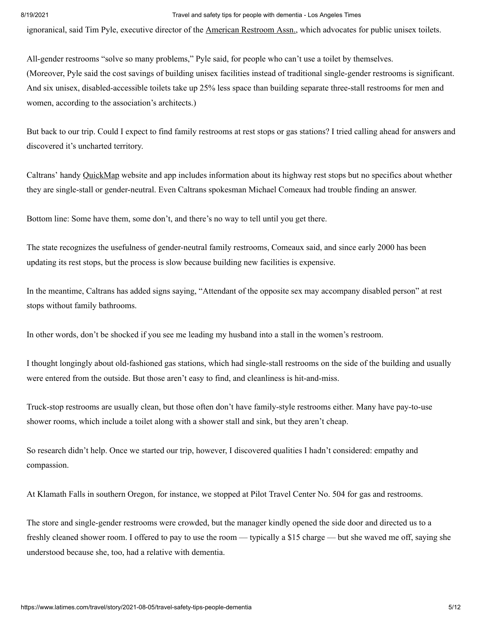ignoranical, said Tim Pyle, executive director of the [American Restroom Assn.,](https://americanrestroom.org/) which advocates for public unisex toilets.

All-gender restrooms "solve so many problems," Pyle said, for people who can't use a toilet by themselves. (Moreover, Pyle said the cost savings of building unisex facilities instead of traditional single-gender restrooms is significant. And six unisex, disabled-accessible toilets take up 25% less space than building separate three-stall restrooms for men and women, according to the association's architects.)

But back to our trip. Could I expect to find family restrooms at rest stops or gas stations? I tried calling ahead for answers and discovered it's uncharted territory.

Caltrans' handy [QuickMap](http://quickmap.dot.ca.gov/) website and app includes information about its highway rest stops but no specifics about whether they are single-stall or gender-neutral. Even Caltrans spokesman Michael Comeaux had trouble finding an answer.

Bottom line: Some have them, some don't, and there's no way to tell until you get there.

The state recognizes the usefulness of gender-neutral family restrooms, Comeaux said, and since early 2000 has been updating its rest stops, but the process is slow because building new facilities is expensive.

In the meantime, Caltrans has added signs saying, "Attendant of the opposite sex may accompany disabled person" at rest stops without family bathrooms.

In other words, don't be shocked if you see me leading my husband into a stall in the women's restroom.

I thought longingly about old-fashioned gas stations, which had single-stall restrooms on the side of the building and usually were entered from the outside. But those aren't easy to find, and cleanliness is hit-and-miss.

Truck-stop restrooms are usually clean, but those often don't have family-style restrooms either. Many have pay-to-use shower rooms, which include a toilet along with a shower stall and sink, but they aren't cheap.

So research didn't help. Once we started our trip, however, I discovered qualities I hadn't considered: empathy and compassion.

At Klamath Falls in southern Oregon, for instance, we stopped at Pilot Travel Center No. 504 for gas and restrooms.

The store and single-gender restrooms were crowded, but the manager kindly opened the side door and directed us to a freshly cleaned shower room. I offered to pay to use the room — typically a \$15 charge — but she waved me off, saying she understood because she, too, had a relative with dementia.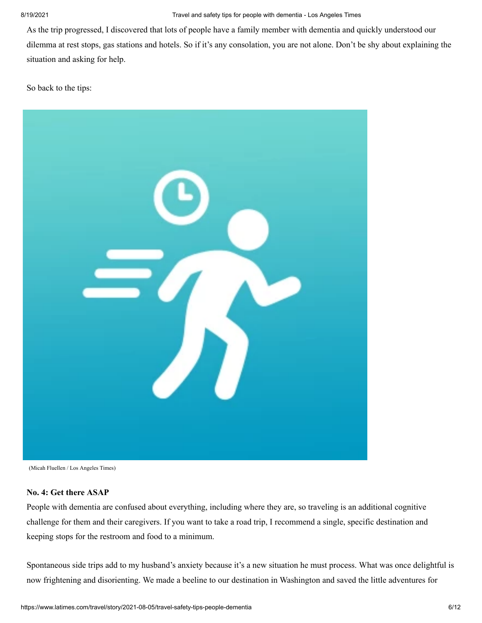As the trip progressed, I discovered that lots of people have a family member with dementia and quickly understood our dilemma at rest stops, gas stations and hotels. So if it's any consolation, you are not alone. Don't be shy about explaining the situation and asking for help.

So back to the tips:



(Micah Fluellen / Los Angeles Times)

# **No. 4: Get there ASAP**

People with dementia are confused about everything, including where they are, so traveling is an additional cognitive challenge for them and their caregivers. If you want to take a road trip, I recommend a single, specific destination and keeping stops for the restroom and food to a minimum.

Spontaneous side trips add to my husband's anxiety because it's a new situation he must process. What was once delightful is now frightening and disorienting. We made a beeline to our destination in Washington and saved the little adventures for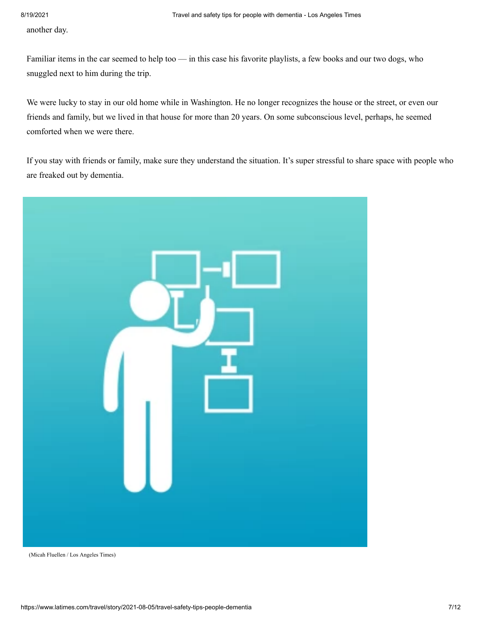another day.

Familiar items in the car seemed to help too — in this case his favorite playlists, a few books and our two dogs, who snuggled next to him during the trip.

We were lucky to stay in our old home while in Washington. He no longer recognizes the house or the street, or even our friends and family, but we lived in that house for more than 20 years. On some subconscious level, perhaps, he seemed comforted when we were there.

If you stay with friends or family, make sure they understand the situation. It's super stressful to share space with people who are freaked out by dementia.



(Micah Fluellen / Los Angeles Times)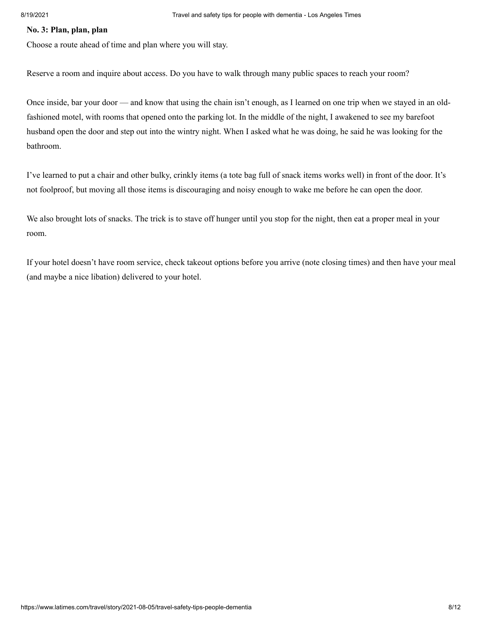# **No. 3: Plan, plan, plan**

Choose a route ahead of time and plan where you will stay.

Reserve a room and inquire about access. Do you have to walk through many public spaces to reach your room?

Once inside, bar your door — and know that using the chain isn't enough, as I learned on one trip when we stayed in an oldfashioned motel, with rooms that opened onto the parking lot. In the middle of the night, I awakened to see my barefoot husband open the door and step out into the wintry night. When I asked what he was doing, he said he was looking for the bathroom.

I've learned to put a chair and other bulky, crinkly items (a tote bag full of snack items works well) in front of the door. It's not foolproof, but moving all those items is discouraging and noisy enough to wake me before he can open the door.

We also brought lots of snacks. The trick is to stave off hunger until you stop for the night, then eat a proper meal in your room.

If your hotel doesn't have room service, check takeout options before you arrive (note closing times) and then have your meal (and maybe a nice libation) delivered to your hotel.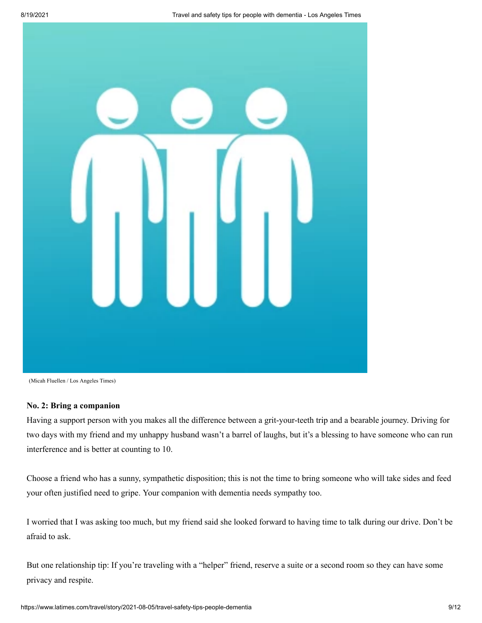

<sup>(</sup>Micah Fluellen / Los Angeles Times)

# **No. 2: Bring a companion**

Having a support person with you makes all the difference between a grit-your-teeth trip and a bearable journey. Driving for two days with my friend and my unhappy husband wasn't a barrel of laughs, but it's a blessing to have someone who can run interference and is better at counting to 10.

Choose a friend who has a sunny, sympathetic disposition; this is not the time to bring someone who will take sides and feed your often justified need to gripe. Your companion with dementia needs sympathy too.

I worried that I was asking too much, but my friend said she looked forward to having time to talk during our drive. Don't be afraid to ask.

But one relationship tip: If you're traveling with a "helper" friend, reserve a suite or a second room so they can have some privacy and respite.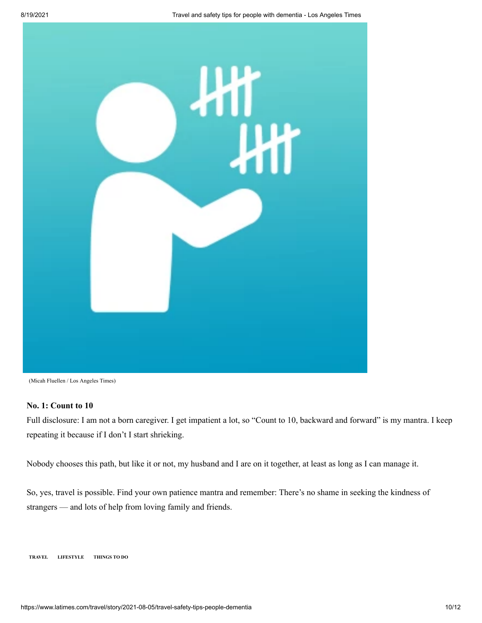

(Micah Fluellen / Los Angeles Times)

## **No. 1: Count to 10**

Full disclosure: I am not a born caregiver. I get impatient a lot, so "Count to 10, backward and forward" is my mantra. I keep repeating it because if I don't I start shrieking.

Nobody chooses this path, but like it or not, my husband and I are on it together, at least as long as I can manage it.

So, yes, travel is possible. Find your own patience mantra and remember: There's no shame in seeking the kindness of strangers — and lots of help from loving family and friends.

**[TRAVEL](https://www.latimes.com/travel) [LIFESTYLE](https://www.latimes.com/lifestyle) [THINGS TO DO](https://www.latimes.com/topic/things-to-do)**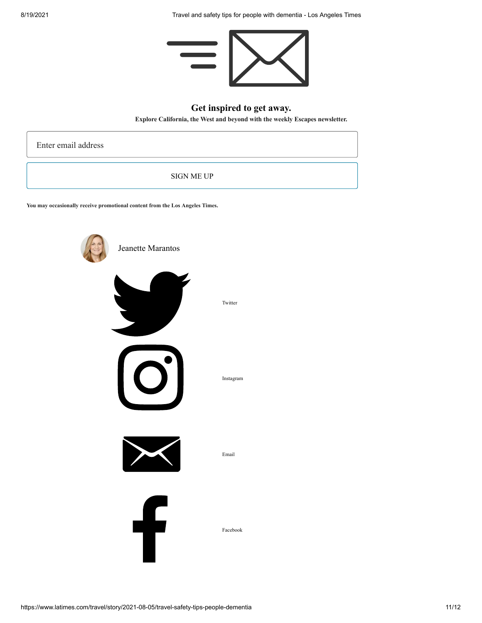

# **Get inspired to get away.**

**Explore California, the West and beyond with the weekly Escapes newsletter.**

Enter email address

SIGN ME UP

**You may occasionally receive promotional content from the Los Angeles Times.**